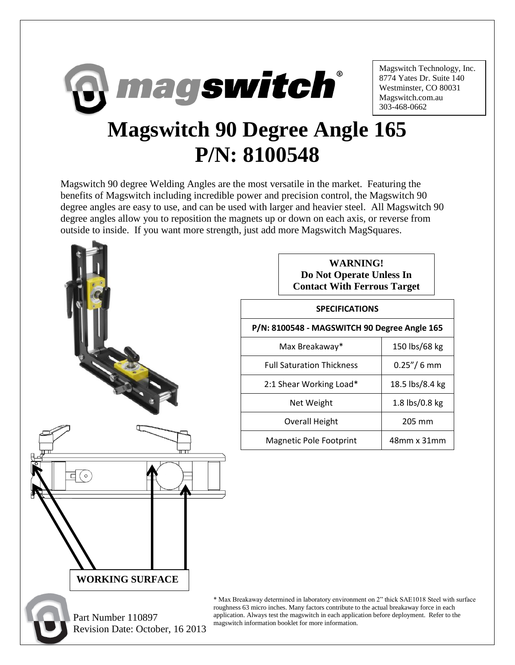

Magswitch Technology, Inc. 8774 Yates Dr. Suite 140 Westminster, CO 80031 Magswitch.com.au 303-468-0662

## **Magswitch 90 Degree Angle 165 P/N: 8100548**

Magswitch 90 degree Welding Angles are the most versatile in the market. Featuring the benefits of Magswitch including incredible power and precision control, the Magswitch 90 degree angles are easy to use, and can be used with larger and heavier steel. All Magswitch 90 degree angles allow you to reposition the magnets up or down on each axis, or reverse from outside to inside. If you want more strength, just add more Magswitch MagSquares.



Revision Date: October, 16 2013

| <b>WARNING!</b>                    |
|------------------------------------|
| Do Not Operate Unless In           |
| <b>Contact With Ferrous Target</b> |

## **SPECIFICATIONS**

**P/N: 8100548 - MAGSWITCH 90 Degree Angle 165**

| Max Breakaway*                   | 150 lbs/68 kg     |
|----------------------------------|-------------------|
| <b>Full Saturation Thickness</b> | $0.25''/6$ mm     |
| 2:1 Shear Working Load*          | 18.5 lbs/8.4 kg   |
| Net Weight                       | 1.8 lbs/0.8 kg    |
| <b>Overall Height</b>            | 205 mm            |
| Magnetic Pole Footprint          | $48$ mm x $31$ mm |
|                                  |                   |

\* Max Breakaway determined in laboratory environment on 2" thick SAE1018 Steel with surface roughness 63 micro inches. Many factors contribute to the actual breakaway force in each application. Always test the magswitch in each application before deployment. Refer to the magswitch information booklet for more information.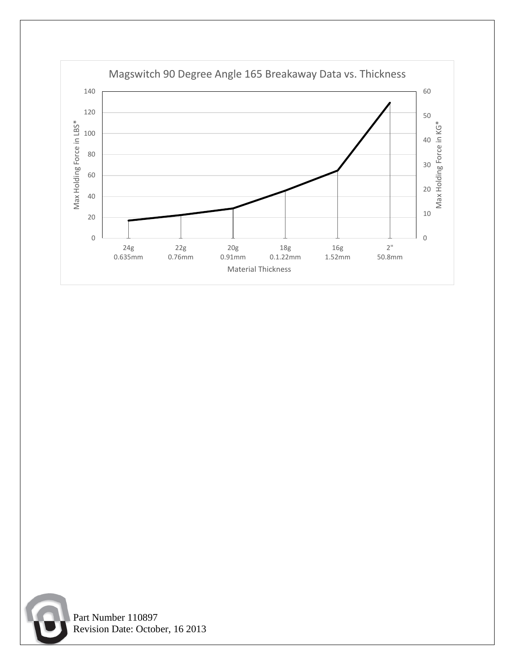



 Part Number 110897 Revision Date: October, 16 2013